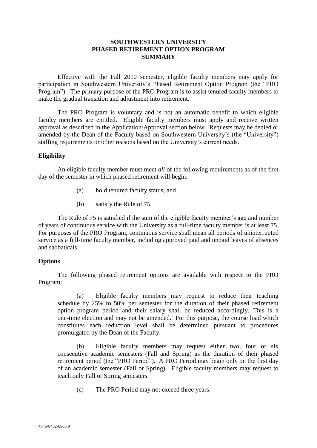# **SOUTHWESTERN UNIVERSITY PHASED RETIREMENT OPTION PROGRAM SUMMARY**

Effective with the Fall 2010 semester, eligible faculty members may apply for participation in Southwestern University's Phased Retirement Option Program (the "PRO Program"). The primary purpose of the PRO Program is to assist tenured faculty members to make the gradual transition and adjustment into retirement.

The PRO Program is voluntary and is not an automatic benefit to which eligible faculty members are entitled. Eligible faculty members must apply and receive written approval as described in the Application/Approval section below. Requests may be denied or amended by the Dean of the Faculty based on Southwestern University's (the "University") staffing requirements or other reasons based on the University's current needs.

# **Eligibility**

An eligible faculty member must meet *all* of the following requirements as of the first day of the semester in which phased retirement will begin:

- (a) hold tenured faculty status; and
- (b) satisfy the Rule of 75.

The Rule of 75 is satisfied if the sum of the eligible faculty member's age and number of years of continuous service with the University as a full-time faculty member is at least 75. For purposes of the PRO Program, continuous service shall mean all periods of uninterrupted service as a full-time faculty member, including approved paid and unpaid leaves of absences and sabbaticals.

#### **Options**

The following phased retirement options are available with respect to the PRO Program:

(a) Eligible faculty members may request to reduce their teaching schedule by 25% to 50% per semester for the duration of their phased retirement option program period and their salary shall be reduced accordingly. This is a one-time election and may not be amended. For this purpose, the course load which constitutes each reduction level shall be determined pursuant to procedures promulgated by the Dean of the Faculty.

(b) Eligible faculty members may request either two, four or six consecutive academic semesters (Fall and Spring) as the duration of their phased retirement period (the "PRO Period"). A PRO Period may begin only on the first day of an academic semester (Fall or Spring). Eligible faculty members may request to teach only Fall or Spring semesters.

(c) The PRO Period may not exceed three years.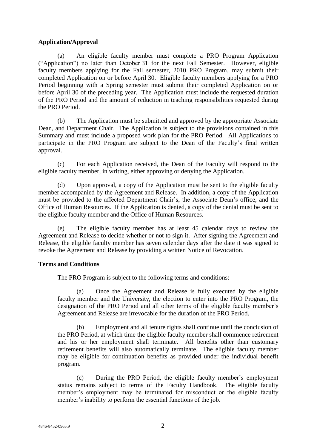# **Application/Approval**

(a) An eligible faculty member must complete a PRO Program Application ("Application") no later than October 31 for the next Fall Semester. However, eligible faculty members applying for the Fall semester, 2010 PRO Program, may submit their completed Application on or before April 30. Eligible faculty members applying for a PRO Period beginning with a Spring semester must submit their completed Application on or before April 30 of the preceding year. The Application must include the requested duration of the PRO Period and the amount of reduction in teaching responsibilities requested during the PRO Period.

(b) The Application must be submitted and approved by the appropriate Associate Dean, and Department Chair. The Application is subject to the provisions contained in this Summary and must include a proposed work plan for the PRO Period. All Applications to participate in the PRO Program are subject to the Dean of the Faculty's final written approval.

(c) For each Application received, the Dean of the Faculty will respond to the eligible faculty member, in writing, either approving or denying the Application.

(d) Upon approval, a copy of the Application must be sent to the eligible faculty member accompanied by the Agreement and Release. In addition, a copy of the Application must be provided to the affected Department Chair's, the Associate Dean's office, and the Office of Human Resources. If the Application is denied, a copy of the denial must be sent to the eligible faculty member and the Office of Human Resources.

(e) The eligible faculty member has at least 45 calendar days to review the Agreement and Release to decide whether or not to sign it. After signing the Agreement and Release, the eligible faculty member has seven calendar days after the date it was signed to revoke the Agreement and Release by providing a written Notice of Revocation.

# **Terms and Conditions**

The PRO Program is subject to the following terms and conditions:

(a) Once the Agreement and Release is fully executed by the eligible faculty member and the University, the election to enter into the PRO Program, the designation of the PRO Period and all other terms of the eligible faculty member's Agreement and Release are irrevocable for the duration of the PRO Period.

(b) Employment and all tenure rights shall continue until the conclusion of the PRO Period, at which time the eligible faculty member shall commence retirement and his or her employment shall terminate. All benefits other than customary retirement benefits will also automatically terminate. The eligible faculty member may be eligible for continuation benefits as provided under the individual benefit program.

(c) During the PRO Period, the eligible faculty member's employment status remains subject to terms of the Faculty Handbook. The eligible faculty member's employment may be terminated for misconduct or the eligible faculty member's inability to perform the essential functions of the job.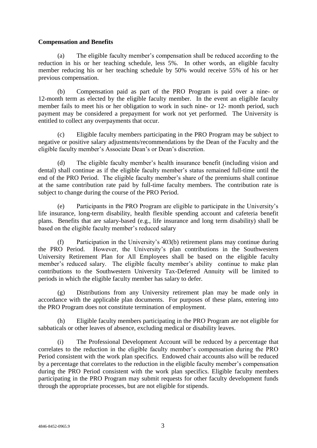# **Compensation and Benefits**

(a) The eligible faculty member's compensation shall be reduced according to the reduction in his or her teaching schedule, less 5%. In other words, an eligible faculty member reducing his or her teaching schedule by 50% would receive 55% of his or her previous compensation.

(b) Compensation paid as part of the PRO Program is paid over a nine- or 12-month term as elected by the eligible faculty member. In the event an eligible faculty member fails to meet his or her obligation to work in such nine- or 12- month period, such payment may be considered a prepayment for work not yet performed. The University is entitled to collect any overpayments that occur.

(c) Eligible faculty members participating in the PRO Program may be subject to negative or positive salary adjustments/recommendations by the Dean of the Faculty and the eligible faculty member's Associate Dean's or Dean's discretion.

(d) The eligible faculty member's health insurance benefit (including vision and dental) shall continue as if the eligible faculty member's status remained full-time until the end of the PRO Period. The eligible faculty member's share of the premiums shall continue at the same contribution rate paid by full-time faculty members. The contribution rate is subject to change during the course of the PRO Period.

(e) Participants in the PRO Program are eligible to participate in the University's life insurance, long-term disability, health flexible spending account and cafeteria benefit plans. Benefits that are salary-based (e.g., life insurance and long term disability) shall be based on the eligible faculty member's reduced salary

(f) Participation in the University's 403(b) retirement plans may continue during the PRO Period. However, the University's plan contributions in the Southwestern University Retirement Plan for All Employees shall be based on the eligible faculty member's reduced salary. The eligible faculty member's ability continue to make plan contributions to the Southwestern University Tax-Deferred Annuity will be limited to periods in which the eligible faculty member has salary to defer.

(g) Distributions from any University retirement plan may be made only in accordance with the applicable plan documents. For purposes of these plans, entering into the PRO Program does not constitute termination of employment.

Eligible faculty members participating in the PRO Program are not eligible for sabbaticals or other leaves of absence, excluding medical or disability leaves.

(i) The Professional Development Account will be reduced by a percentage that correlates to the reduction in the eligible faculty member's compensation during the PRO Period consistent with the work plan specifics. Endowed chair accounts also will be reduced by a percentage that correlates to the reduction in the eligible faculty member's compensation during the PRO Period consistent with the work plan specifics. Eligible faculty members participating in the PRO Program may submit requests for other faculty development funds through the appropriate processes, but are not eligible for stipends.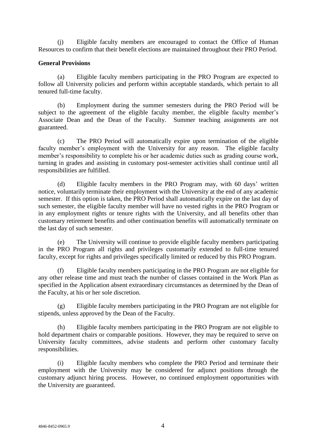(j) Eligible faculty members are encouraged to contact the Office of Human Resources to confirm that their benefit elections are maintained throughout their PRO Period.

#### **General Provisions**

(a) Eligible faculty members participating in the PRO Program are expected to follow all University policies and perform within acceptable standards, which pertain to all tenured full-time faculty.

(b) Employment during the summer semesters during the PRO Period will be subject to the agreement of the eligible faculty member, the eligible faculty member's Associate Dean and the Dean of the Faculty. Summer teaching assignments are not guaranteed.

(c) The PRO Period will automatically expire upon termination of the eligible faculty member's employment with the University for any reason. The eligible faculty member's responsibility to complete his or her academic duties such as grading course work, turning in grades and assisting in customary post-semester activities shall continue until all responsibilities are fulfilled.

(d) Eligible faculty members in the PRO Program may, with 60 days' written notice, voluntarily terminate their employment with the University at the end of any academic semester. If this option is taken, the PRO Period shall automatically expire on the last day of such semester, the eligible faculty member will have no vested rights in the PRO Program or in any employment rights or tenure rights with the University, and all benefits other than customary retirement benefits and other continuation benefits will automatically terminate on the last day of such semester.

(e) The University will continue to provide eligible faculty members participating in the PRO Program all rights and privileges customarily extended to full-time tenured faculty, except for rights and privileges specifically limited or reduced by this PRO Program.

(f) Eligible faculty members participating in the PRO Program are not eligible for any other release time and must teach the number of classes contained in the Work Plan as specified in the Application absent extraordinary circumstances as determined by the Dean of the Faculty, at his or her sole discretion.

(g) Eligible faculty members participating in the PRO Program are not eligible for stipends, unless approved by the Dean of the Faculty.

(h) Eligible faculty members participating in the PRO Program are not eligible to hold department chairs or comparable positions. However, they may be required to serve on University faculty committees, advise students and perform other customary faculty responsibilities.

(i) Eligible faculty members who complete the PRO Period and terminate their employment with the University may be considered for adjunct positions through the customary adjunct hiring process. However, no continued employment opportunities with the University are guaranteed.